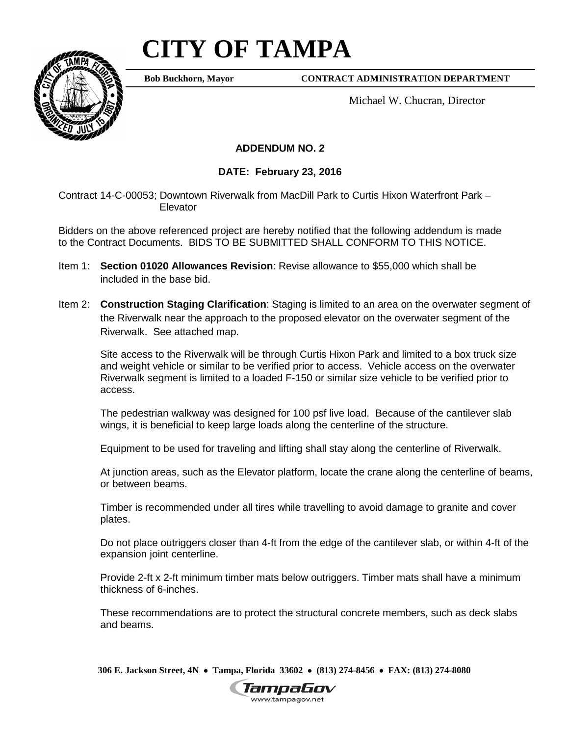## **CITY OF TAMPA**

**Bob Buckhorn, Mayor**

**CONTRACT ADMINISTRATION DEPARTMENT**

Michael W. Chucran, Director

## **ADDENDUM NO. 2**

## **DATE: February 23, 2016**

Contract 14-C-00053; Downtown Riverwalk from MacDill Park to Curtis Hixon Waterfront Park – Elevator

Bidders on the above referenced project are hereby notified that the following addendum is made to the Contract Documents. BIDS TO BE SUBMITTED SHALL CONFORM TO THIS NOTICE.

- Item 1: **Section 01020 Allowances Revision**: Revise allowance to \$55,000 which shall be included in the base bid.
- Item 2: **Construction Staging Clarification**: Staging is limited to an area on the overwater segment of the Riverwalk near the approach to the proposed elevator on the overwater segment of the Riverwalk. See attached map.

Site access to the Riverwalk will be through Curtis Hixon Park and limited to a box truck size and weight vehicle or similar to be verified prior to access. Vehicle access on the overwater Riverwalk segment is limited to a loaded F-150 or similar size vehicle to be verified prior to access.

The pedestrian walkway was designed for 100 psf live load. Because of the cantilever slab wings, it is beneficial to keep large loads along the centerline of the structure.

Equipment to be used for traveling and lifting shall stay along the centerline of Riverwalk.

At junction areas, such as the Elevator platform, locate the crane along the centerline of beams, or between beams.

Timber is recommended under all tires while travelling to avoid damage to granite and cover plates.

Do not place outriggers closer than 4-ft from the edge of the cantilever slab, or within 4-ft of the expansion joint centerline.

Provide 2-ft x 2-ft minimum timber mats below outriggers. Timber mats shall have a minimum thickness of 6-inches.

These recommendations are to protect the structural concrete members, such as deck slabs and beams.

**306 E. Jackson Street, 4N** • **Tampa, Florida 33602** • **(813) 274-8456** • **FAX: (813) 274-8080**



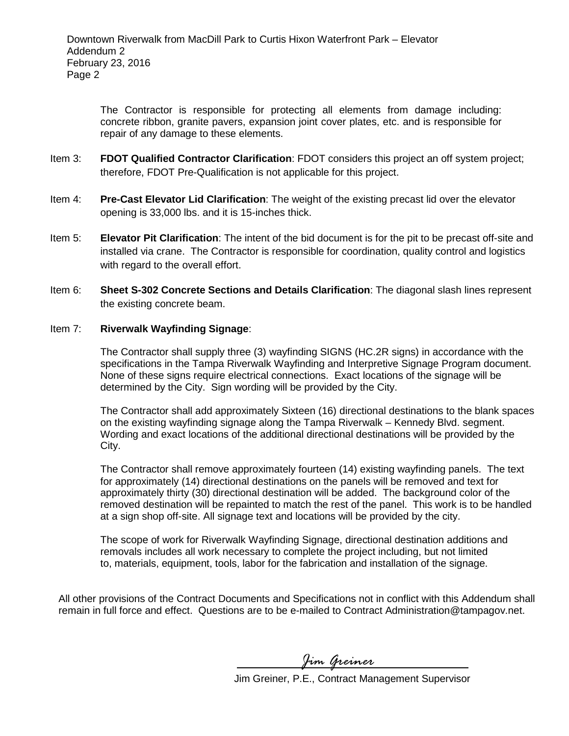The Contractor is responsible for protecting all elements from damage including: concrete ribbon, granite pavers, expansion joint cover plates, etc. and is responsible for repair of any damage to these elements.

- Item 3: **FDOT Qualified Contractor Clarification**: FDOT considers this project an off system project; therefore, FDOT Pre-Qualification is not applicable for this project.
- Item 4: **Pre-Cast Elevator Lid Clarification**: The weight of the existing precast lid over the elevator opening is 33,000 lbs. and it is 15-inches thick.
- Item 5: **Elevator Pit Clarification**: The intent of the bid document is for the pit to be precast off-site and installed via crane. The Contractor is responsible for coordination, quality control and logistics with regard to the overall effort.
- Item 6: **Sheet S-302 Concrete Sections and Details Clarification**: The diagonal slash lines represent the existing concrete beam.

## Item 7: **Riverwalk Wayfinding Signage**:

The Contractor shall supply three (3) wayfinding SIGNS (HC.2R signs) in accordance with the specifications in the Tampa Riverwalk Wayfinding and Interpretive Signage Program document. None of these signs require electrical connections. Exact locations of the signage will be determined by the City. Sign wording will be provided by the City.

The Contractor shall add approximately Sixteen (16) directional destinations to the blank spaces on the existing wayfinding signage along the Tampa Riverwalk – Kennedy Blvd. segment. Wording and exact locations of the additional directional destinations will be provided by the City.

The Contractor shall remove approximately fourteen (14) existing wayfinding panels. The text for approximately (14) directional destinations on the panels will be removed and text for approximately thirty (30) directional destination will be added. The background color of the removed destination will be repainted to match the rest of the panel. This work is to be handled at a sign shop off-site. All signage text and locations will be provided by the city.

The scope of work for Riverwalk Wayfinding Signage, directional destination additions and removals includes all work necessary to complete the project including, but not limited to, materials, equipment, tools, labor for the fabrication and installation of the signage.

All other provisions of the Contract Documents and Specifications not in conflict with this Addendum shall remain in full force and effect. Questions are to be e-mailed to Contract Administration@tampagov.net.

*Jim Greiner*